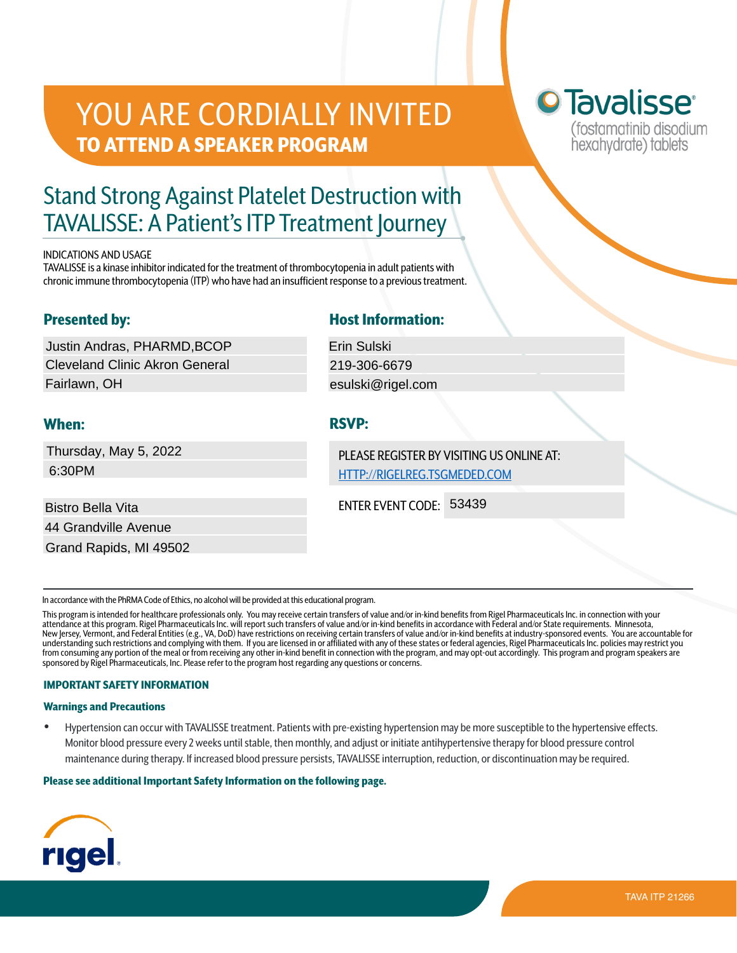# YOU ARE CORDIALLY INVITED TO ATTEND A SPEAKER PROGRAM

# <sup>o</sup> Tavalisse<sup>®</sup> (fostamatinib disodium hexahydrate) tablets

# Stand Strong Against Platelet Destruction with TAVALISSE: A Patient's ITP Treatment Journey

#### INDICATIONS AND USAGE

TAVALISSE is a kinase inhibitor indicated for the treatment of thrombocytopenia in adult patients with chronic immune thrombocytopenia (ITP) who have had an insufficient response to a previous treatment.

## Presented by:

Justin Andras, PHARMD,BCOP Cleveland Clinic Akron General Fairlawn, OH Uustin Andras, PHARMD,BCOP<br>Cleveland Clinic Akron General<br>Fairlawn, OH<br>**When:** RSVP:<br>Thursday, May 5, 2022<br>6:30PM<br>Bistro Bella Vita<br>Bistro Bella Vita<br>44 Grandville Avenue<br>Grand Rapids, MI 49502

Thursday, May 5, 2022 6:30PM

Bistro Bella Vita 44 Grandville Avenue

## Host Information:

# When: RSVP:

PLEASE REGISTER BY VISITING US ONLINE AT: <HTTP://RIGELREG.TSGMEDED.COM>

ENTER EVENT CODE:

In accordance with the PhRMA Code of Ethics, no alcohol will be provided at this educational program.

This program is intended for healthcare professionals only. You may receive certain transfers of value and/or in-kind benefits from Rigel Pharmaceuticals Inc. in connection with your attendance at this program. Rigel Pharmaceuticals Inc. will report such transfers of value and/or in-kind benefits in accordance with Federal and/or State requirements. Minnesota, New Jersey, Vermont, and Federal Entities (e.g., VA, DoD) have restrictions on receiving certain transfers of value and/or in-kind benefits at industry-sponsored events. You are accountable for understanding such restrictions and complying with them. If you are licensed in or affiliated with any of these states or federal agencies, Rigel Pharmaceuticals Inc. policies may restrict you from consuming any portion of the meal or from receiving any other in-kind benefit in connection with the program, and may opt-out accordingly. This program and program speakers are sponsored by Rigel Pharmaceuticals, Inc. Please refer to the program host regarding any questions or concerns.

### IMPORTANT SAFETY INFORMATION

#### Warnings and Precautions

• Hypertension can occur with TAVALISSE treatment. Patients with pre-existing hypertension may be more susceptible to the hypertensive effects. Monitor blood pressure every 2 weeks until stable, then monthly, and adjust or initiate antihypertensive therapy for blood pressure control maintenance during therapy. If increased blood pressure persists, TAVALISSE interruption, reduction, or discontinuation may be required.

#### Please see additional Important Safety Information on the following page.